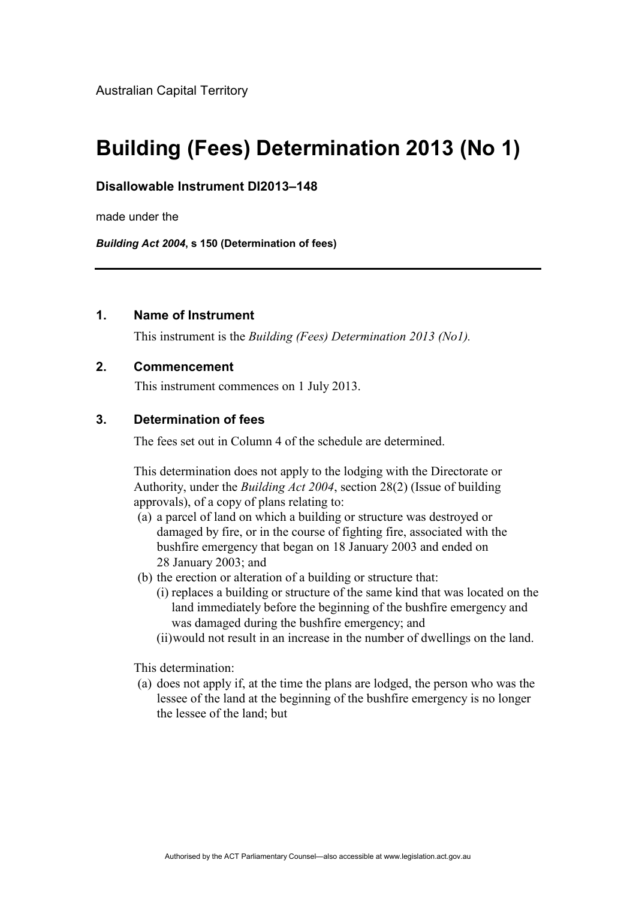# **Building (Fees) Determination 2013 (No 1)**

#### **Disallowable Instrument DI2013–148**

made under the

*Building Act 2004***, s 150 (Determination of fees)**

#### **1. Name of Instrument**

This instrument is the *Building (Fees) Determination 2013 (No1).*

#### **2. Commencement**

This instrument commences on 1 July 2013.

# **3. Determination of fees**

The fees set out in Column 4 of the schedule are determined.

This determination does not apply to the lodging with the Directorate or Authority, under the *Building Act 2004*, section 28(2) (Issue of building approvals), of a copy of plans relating to:

- (a) a parcel of land on which a building or structure was destroyed or damaged by fire, or in the course of fighting fire, associated with the bushfire emergency that began on 18 January 2003 and ended on 28 January 2003; and
- (b) the erection or alteration of a building or structure that:
	- (i) replaces a building or structure of the same kind that was located on the land immediately before the beginning of the bushfire emergency and was damaged during the bushfire emergency; and
	- (ii)would not result in an increase in the number of dwellings on the land.

This determination:

(a) does not apply if, at the time the plans are lodged, the person who was the lessee of the land at the beginning of the bushfire emergency is no longer the lessee of the land; but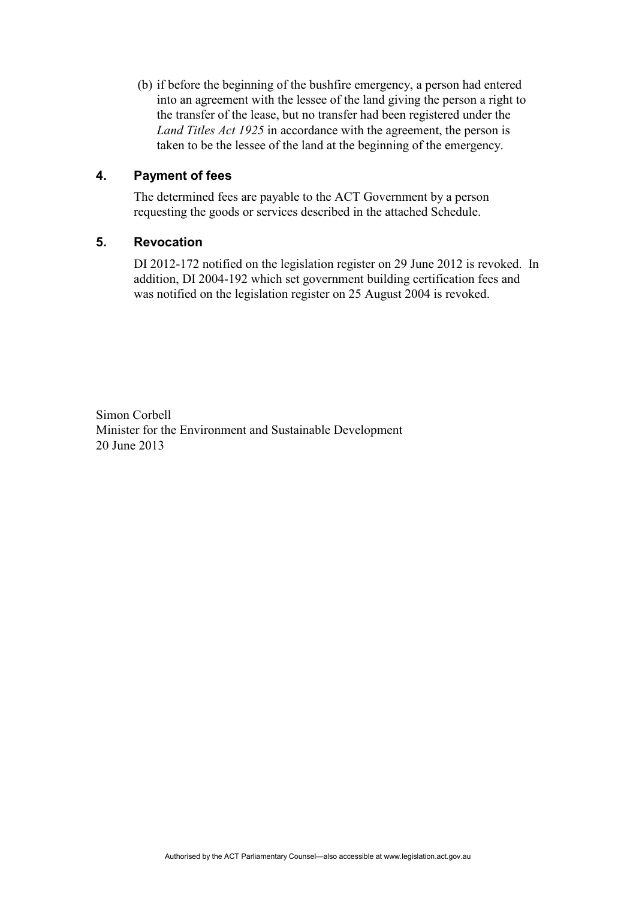(b) if before the beginning of the bushfire emergency, a person had entered into an agreement with the lessee of the land giving the person a right to the transfer of the lease, but no transfer had been registered under the *Land Titles Act 1925* in accordance with the agreement, the person is taken to be the lessee of the land at the beginning of the emergency.

## **4. Payment of fees**

The determined fees are payable to the ACT Government by a person requesting the goods or services described in the attached Schedule.

## **5. Revocation**

DI 2012-172 notified on the legislation register on 29 June 2012 is revoked. In addition, DI 2004-192 which set government building certification fees and was notified on the legislation register on 25 August 2004 is revoked.

Simon Corbell Minister for the Environment and Sustainable Development 20 June 2013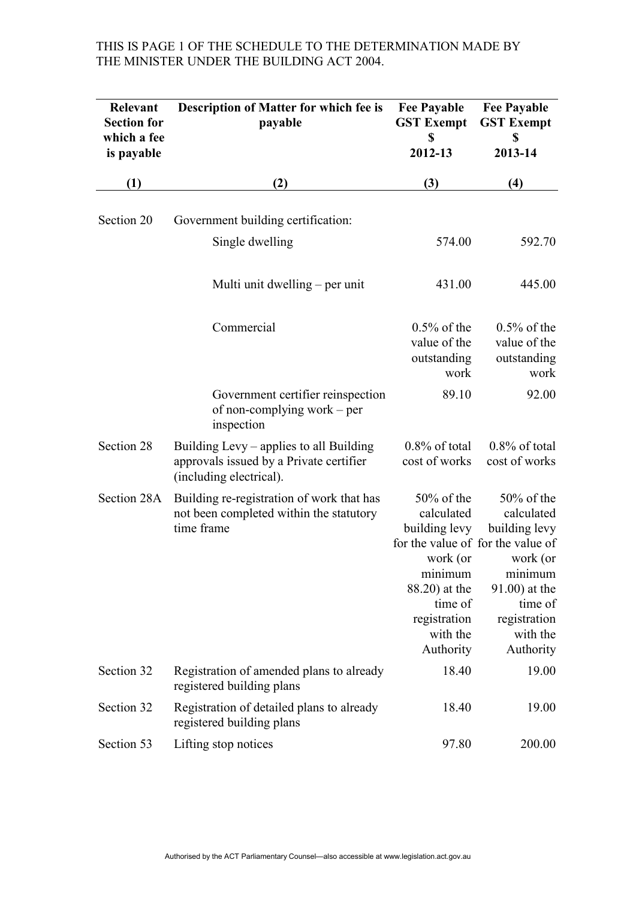# THIS IS PAGE 1 OF THE SCHEDULE TO THE DETERMINATION MADE BY THE MINISTER UNDER THE BUILDING ACT 2004.

| Relevant<br><b>Section for</b><br>which a fee<br>is payable | <b>Description of Matter for which fee is</b><br>payable                                                      | <b>Fee Payable</b><br><b>GST Exempt</b><br>\$<br>2012-13                                                                                 | <b>Fee Payable</b><br><b>GST Exempt</b><br>\$<br>2013-14                                                                                                                         |
|-------------------------------------------------------------|---------------------------------------------------------------------------------------------------------------|------------------------------------------------------------------------------------------------------------------------------------------|----------------------------------------------------------------------------------------------------------------------------------------------------------------------------------|
| (1)                                                         | (2)                                                                                                           | (3)                                                                                                                                      | (4)                                                                                                                                                                              |
| Section 20                                                  | Government building certification:<br>Single dwelling                                                         | 574.00                                                                                                                                   | 592.70                                                                                                                                                                           |
|                                                             | Multi unit dwelling – per unit                                                                                | 431.00                                                                                                                                   | 445.00                                                                                                                                                                           |
|                                                             | Commercial                                                                                                    | $0.5\%$ of the<br>value of the<br>outstanding<br>work                                                                                    | $0.5\%$ of the<br>value of the<br>outstanding<br>work                                                                                                                            |
|                                                             | Government certifier reinspection<br>of non-complying work – per<br>inspection                                | 89.10                                                                                                                                    | 92.00                                                                                                                                                                            |
| Section 28                                                  | Building Levy – applies to all Building<br>approvals issued by a Private certifier<br>(including electrical). | $0.8\%$ of total<br>cost of works                                                                                                        | $0.8\%$ of total<br>cost of works                                                                                                                                                |
| Section 28A                                                 | Building re-registration of work that has<br>not been completed within the statutory<br>time frame            | $50\%$ of the<br>calculated<br>building levy<br>work (or<br>minimum<br>88.20) at the<br>time of<br>registration<br>with the<br>Authority | $50\%$ of the<br>calculated<br>building levy<br>for the value of for the value of<br>work (or<br>minimum<br>$91.00$ ) at the<br>time of<br>registration<br>with the<br>Authority |
| Section 32                                                  | Registration of amended plans to already<br>registered building plans                                         | 18.40                                                                                                                                    | 19.00                                                                                                                                                                            |
| Section 32                                                  | Registration of detailed plans to already<br>registered building plans                                        | 18.40                                                                                                                                    | 19.00                                                                                                                                                                            |
| Section 53                                                  | Lifting stop notices                                                                                          | 97.80                                                                                                                                    | 200.00                                                                                                                                                                           |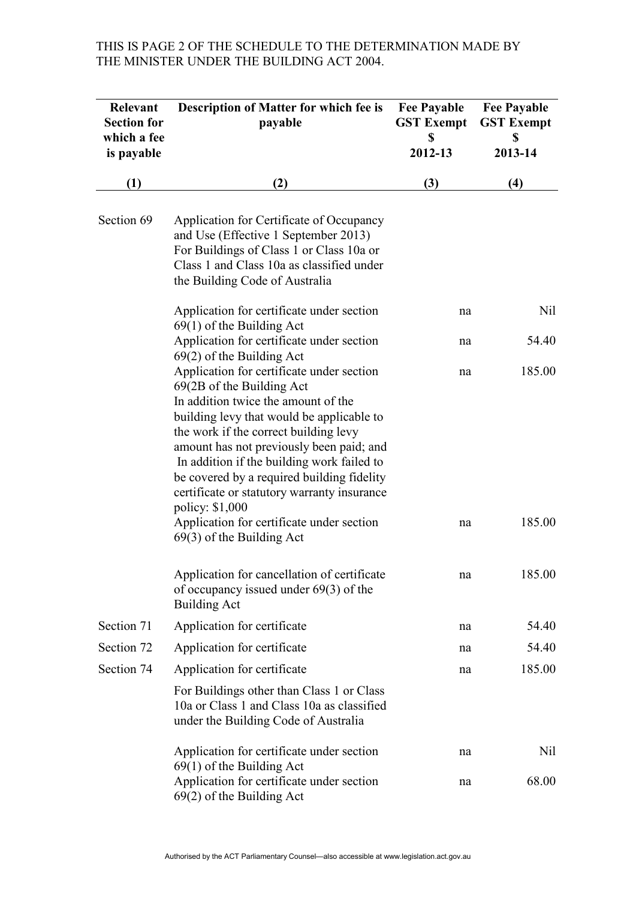## THIS IS PAGE 2 OF THE SCHEDULE TO THE DETERMINATION MADE BY THE MINISTER UNDER THE BUILDING ACT 2004.

| Relevant<br><b>Section for</b> | Description of Matter for which fee is<br>payable                                                                                                                                                                                                                                                                                                                                                                                                                                         | <b>Fee Payable</b><br><b>GST Exempt</b> | <b>Fee Payable</b><br><b>GST Exempt</b> |
|--------------------------------|-------------------------------------------------------------------------------------------------------------------------------------------------------------------------------------------------------------------------------------------------------------------------------------------------------------------------------------------------------------------------------------------------------------------------------------------------------------------------------------------|-----------------------------------------|-----------------------------------------|
| which a fee<br>is payable      |                                                                                                                                                                                                                                                                                                                                                                                                                                                                                           | \$<br>2012-13                           | \$<br>2013-14                           |
| (1)                            | (2)                                                                                                                                                                                                                                                                                                                                                                                                                                                                                       | (3)                                     | (4)                                     |
| Section 69                     | Application for Certificate of Occupancy<br>and Use (Effective 1 September 2013)<br>For Buildings of Class 1 or Class 10a or<br>Class 1 and Class 10a as classified under<br>the Building Code of Australia                                                                                                                                                                                                                                                                               |                                         |                                         |
|                                | Application for certificate under section<br>$69(1)$ of the Building Act                                                                                                                                                                                                                                                                                                                                                                                                                  | na                                      | Nil                                     |
|                                | Application for certificate under section<br>$69(2)$ of the Building Act                                                                                                                                                                                                                                                                                                                                                                                                                  | na                                      | 54.40                                   |
|                                | Application for certificate under section<br>69(2B of the Building Act<br>In addition twice the amount of the<br>building levy that would be applicable to<br>the work if the correct building levy<br>amount has not previously been paid; and<br>In addition if the building work failed to<br>be covered by a required building fidelity<br>certificate or statutory warranty insurance<br>policy: \$1,000<br>Application for certificate under section<br>$69(3)$ of the Building Act | na<br>na                                | 185.00<br>185.00                        |
|                                | Application for cancellation of certificate<br>of occupancy issued under $69(3)$ of the<br><b>Building Act</b>                                                                                                                                                                                                                                                                                                                                                                            | na                                      | 185.00                                  |
| Section 71                     | Application for certificate                                                                                                                                                                                                                                                                                                                                                                                                                                                               | na                                      | 54.40                                   |
| Section 72                     | Application for certificate                                                                                                                                                                                                                                                                                                                                                                                                                                                               | na                                      | 54.40                                   |
| Section 74                     | Application for certificate                                                                                                                                                                                                                                                                                                                                                                                                                                                               | na                                      | 185.00                                  |
|                                | For Buildings other than Class 1 or Class<br>10a or Class 1 and Class 10a as classified<br>under the Building Code of Australia                                                                                                                                                                                                                                                                                                                                                           |                                         |                                         |
|                                | Application for certificate under section<br>$69(1)$ of the Building Act                                                                                                                                                                                                                                                                                                                                                                                                                  | na                                      | Nil                                     |
|                                | Application for certificate under section<br>$69(2)$ of the Building Act                                                                                                                                                                                                                                                                                                                                                                                                                  | na                                      | 68.00                                   |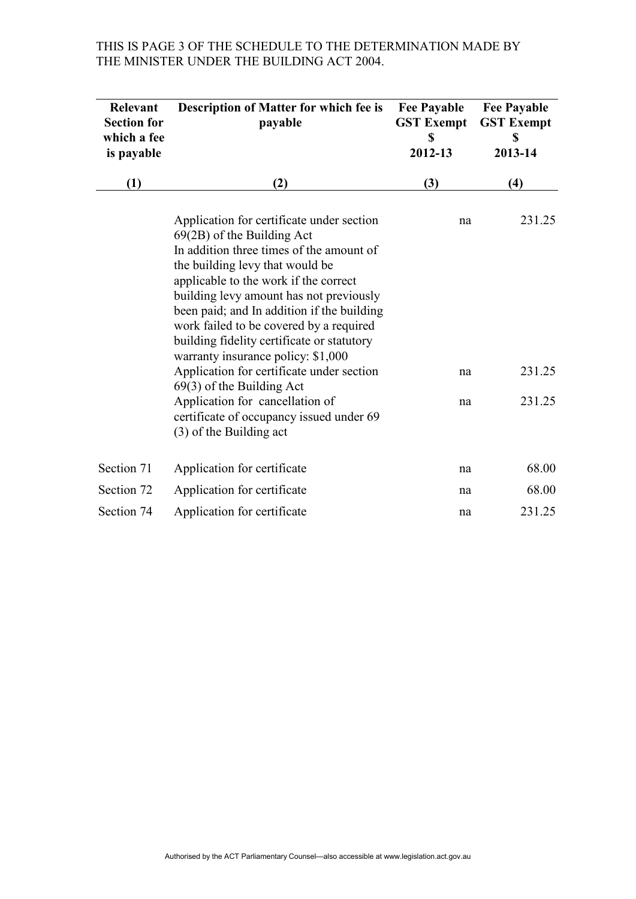# THIS IS PAGE 3 OF THE SCHEDULE TO THE DETERMINATION MADE BY THE MINISTER UNDER THE BUILDING ACT 2004.

| Relevant<br><b>Section for</b><br>which a fee<br>is payable | Description of Matter for which fee is<br>payable                                                                                                                                                                                                                                                                                                                                                                         | <b>Fee Payable</b><br><b>GST Exempt</b><br>\$<br>2012-13 | <b>Fee Payable</b><br><b>GST Exempt</b><br>\$<br>2013-14 |
|-------------------------------------------------------------|---------------------------------------------------------------------------------------------------------------------------------------------------------------------------------------------------------------------------------------------------------------------------------------------------------------------------------------------------------------------------------------------------------------------------|----------------------------------------------------------|----------------------------------------------------------|
| (1)                                                         | (2)                                                                                                                                                                                                                                                                                                                                                                                                                       | (3)                                                      | (4)                                                      |
|                                                             | Application for certificate under section<br>$69(2B)$ of the Building Act<br>In addition three times of the amount of<br>the building levy that would be<br>applicable to the work if the correct<br>building levy amount has not previously<br>been paid; and In addition if the building<br>work failed to be covered by a required<br>building fidelity certificate or statutory<br>warranty insurance policy: \$1,000 | na                                                       | 231.25                                                   |
|                                                             | Application for certificate under section<br>$69(3)$ of the Building Act                                                                                                                                                                                                                                                                                                                                                  | na                                                       | 231.25                                                   |
|                                                             | Application for cancellation of<br>certificate of occupancy issued under 69<br>(3) of the Building act                                                                                                                                                                                                                                                                                                                    | na                                                       | 231.25                                                   |
| Section 71                                                  | Application for certificate                                                                                                                                                                                                                                                                                                                                                                                               | na                                                       | 68.00                                                    |
| Section 72                                                  | Application for certificate                                                                                                                                                                                                                                                                                                                                                                                               | na                                                       | 68.00                                                    |
| Section 74                                                  | Application for certificate                                                                                                                                                                                                                                                                                                                                                                                               | na                                                       | 231.25                                                   |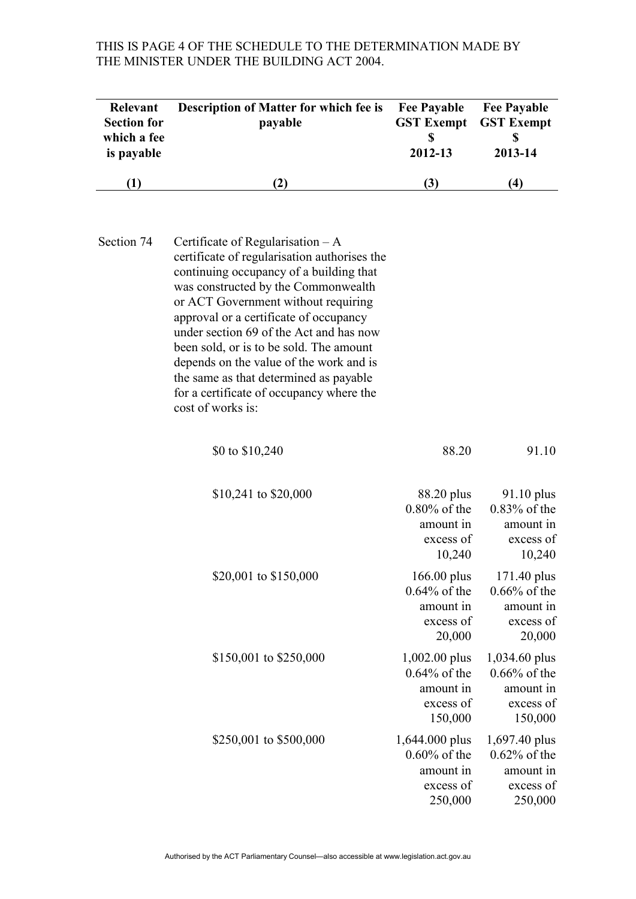# THIS IS PAGE 4 OF THE SCHEDULE TO THE DETERMINATION MADE BY THE MINISTER UNDER THE BUILDING ACT 2004.

| Relevant<br><b>Section for</b><br>which a fee<br>is payable | Description of Matter for which fee is<br>payable                                                                                                                                                                                                                                                                                                                                                                                                                                                 | <b>Fee Payable</b><br><b>GST Exempt</b><br>\$<br>2012-13               | <b>Fee Payable</b><br><b>GST Exempt</b><br>\$<br>2013-14              |
|-------------------------------------------------------------|---------------------------------------------------------------------------------------------------------------------------------------------------------------------------------------------------------------------------------------------------------------------------------------------------------------------------------------------------------------------------------------------------------------------------------------------------------------------------------------------------|------------------------------------------------------------------------|-----------------------------------------------------------------------|
| (1)                                                         | (2)                                                                                                                                                                                                                                                                                                                                                                                                                                                                                               | (3)                                                                    | (4)                                                                   |
| Section 74                                                  | Certificate of Regularisation $-A$<br>certificate of regularisation authorises the<br>continuing occupancy of a building that<br>was constructed by the Commonwealth<br>or ACT Government without requiring<br>approval or a certificate of occupancy<br>under section 69 of the Act and has now<br>been sold, or is to be sold. The amount<br>depends on the value of the work and is<br>the same as that determined as payable<br>for a certificate of occupancy where the<br>cost of works is: |                                                                        |                                                                       |
|                                                             | \$0 to \$10,240                                                                                                                                                                                                                                                                                                                                                                                                                                                                                   | 88.20                                                                  | 91.10                                                                 |
|                                                             | \$10,241 to \$20,000                                                                                                                                                                                                                                                                                                                                                                                                                                                                              | 88.20 plus<br>$0.80\%$ of the<br>amount in<br>excess of<br>10,240      | $91.10$ plus<br>$0.83\%$ of the<br>amount in<br>excess of<br>10,240   |
|                                                             | \$20,001 to \$150,000                                                                                                                                                                                                                                                                                                                                                                                                                                                                             | 166.00 plus<br>$0.64\%$ of the<br>amount in<br>excess of<br>20,000     | 171.40 plus<br>$0.66\%$ of the<br>amount in<br>excess of<br>20,000    |
|                                                             | \$150,001 to \$250,000                                                                                                                                                                                                                                                                                                                                                                                                                                                                            | 1,002.00 plus<br>$0.64\%$ of the<br>amount in<br>excess of<br>150,000  | 1,034.60 plus<br>$0.66\%$ of the<br>amount in<br>excess of<br>150,000 |
|                                                             | \$250,001 to \$500,000                                                                                                                                                                                                                                                                                                                                                                                                                                                                            | 1,644.000 plus<br>$0.60\%$ of the<br>amount in<br>excess of<br>250,000 | 1,697.40 plus<br>$0.62\%$ of the<br>amount in<br>excess of<br>250,000 |